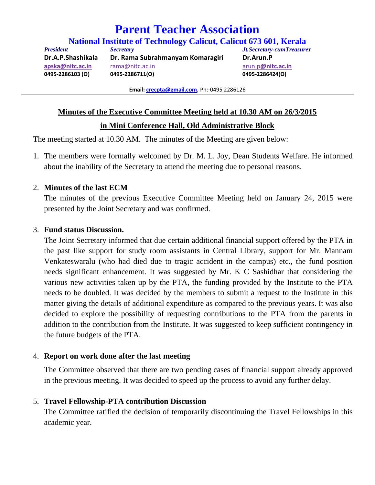# **Parent Teacher Association**

**National Institute of Technology Calicut, Calicut 673 601, Kerala**

*President Secretary Jt.Secretary-cumTreasure***r Dr.A.P.Shashikala Dr. Rama Subrahmanyam Komaragiri Dr.Arun.P apska@nitc.ac.in** rama@nitc.ac.in arun.p**@nitc.ac.in 0495‐2286103 (O) 0495‐2286711(O) 0495‐2286424(O)** 

**Email: crecpta@gmail.com**, Ph:‐0495 2286126

## **Minutes of the Executive Committee Meeting held at 10.30 AM on 26/3/2015**

## **in Mini Conference Hall, Old Administrative Block**

The meeting started at 10.30 AM. The minutes of the Meeting are given below:

1. The members were formally welcomed by Dr. M. L. Joy, Dean Students Welfare. He informed about the inability of the Secretary to attend the meeting due to personal reasons.

#### 2. **Minutes of the last ECM**

The minutes of the previous Executive Committee Meeting held on January 24, 2015 were presented by the Joint Secretary and was confirmed.

#### 3. **Fund status Discussion.**

The Joint Secretary informed that due certain additional financial support offered by the PTA in the past like support for study room assistants in Central Library, support for Mr. Mannam Venkateswaralu (who had died due to tragic accident in the campus) etc., the fund position needs significant enhancement. It was suggested by Mr. K C Sashidhar that considering the various new activities taken up by the PTA, the funding provided by the Institute to the PTA needs to be doubled. It was decided by the members to submit a request to the Institute in this matter giving the details of additional expenditure as compared to the previous years. It was also decided to explore the possibility of requesting contributions to the PTA from the parents in addition to the contribution from the Institute. It was suggested to keep sufficient contingency in the future budgets of the PTA.

#### 4. **Report on work done after the last meeting**

The Committee observed that there are two pending cases of financial support already approved in the previous meeting. It was decided to speed up the process to avoid any further delay.

#### 5. **Travel Fellowship-PTA contribution Discussion**

The Committee ratified the decision of temporarily discontinuing the Travel Fellowships in this academic year.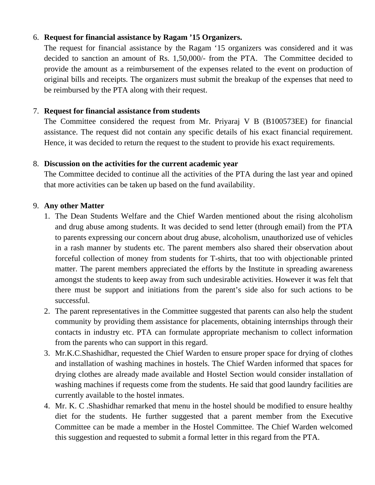# 6. **Request for financial assistance by Ragam '15 Organizers.**

The request for financial assistance by the Ragam '15 organizers was considered and it was decided to sanction an amount of Rs. 1,50,000/- from the PTA. The Committee decided to provide the amount as a reimbursement of the expenses related to the event on production of original bills and receipts. The organizers must submit the breakup of the expenses that need to be reimbursed by the PTA along with their request.

## 7. **Request for financial assistance from students**

The Committee considered the request from Mr. Priyaraj V B (B100573EE) for financial assistance. The request did not contain any specific details of his exact financial requirement. Hence, it was decided to return the request to the student to provide his exact requirements.

# 8. **Discussion on the activities for the current academic year**

The Committee decided to continue all the activities of the PTA during the last year and opined that more activities can be taken up based on the fund availability.

# 9. **Any other Matter**

- 1. The Dean Students Welfare and the Chief Warden mentioned about the rising alcoholism and drug abuse among students. It was decided to send letter (through email) from the PTA to parents expressing our concern about drug abuse, alcoholism, unauthorized use of vehicles in a rash manner by students etc. The parent members also shared their observation about forceful collection of money from students for T-shirts, that too with objectionable printed matter. The parent members appreciated the efforts by the Institute in spreading awareness amongst the students to keep away from such undesirable activities. However it was felt that there must be support and initiations from the parent's side also for such actions to be successful.
- 2. The parent representatives in the Committee suggested that parents can also help the student community by providing them assistance for placements, obtaining internships through their contacts in industry etc. PTA can formulate appropriate mechanism to collect information from the parents who can support in this regard.
- 3. Mr.K.C.Shashidhar, requested the Chief Warden to ensure proper space for drying of clothes and installation of washing machines in hostels. The Chief Warden informed that spaces for drying clothes are already made available and Hostel Section would consider installation of washing machines if requests come from the students. He said that good laundry facilities are currently available to the hostel inmates.
- 4. Mr. K. C .Shashidhar remarked that menu in the hostel should be modified to ensure healthy diet for the students. He further suggested that a parent member from the Executive Committee can be made a member in the Hostel Committee. The Chief Warden welcomed this suggestion and requested to submit a formal letter in this regard from the PTA.